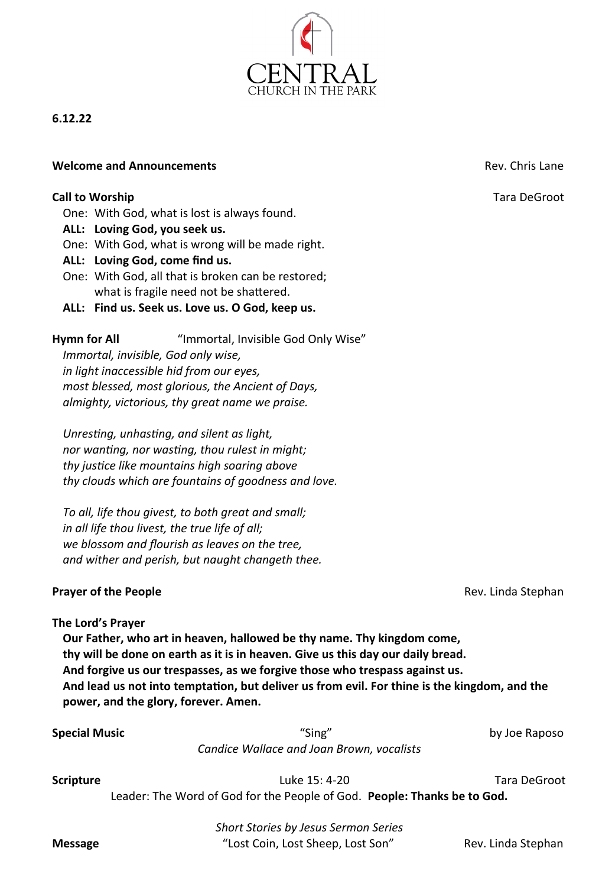

# **6.12.22**

#### **Welcome and Announcements Rev. Chris Lane Rev. Chris Lane**

### **Call to Worship Call to Worship Tara DeGroot Call to Worship Tara DeGroot**

One: With God, what is lost is always found.

- **ALL: Loving God, you seek us.**
- One: With God, what is wrong will be made right.
- **ALL: Loving God, come find us.**
- One: With God, all that is broken can be restored; what is fragile need not be shattered.
- **ALL: Find us. Seek us. Love us. O God, keep us.**

**Hymn for All** "Immortal, Invisible God Only Wise" *Immortal, invisible, God only wise, in light inaccessible hid from our eyes, most blessed, most glorious, the Ancient of Days, almighty, victorious, thy great name we praise.*

*Unresting, unhasting, and silent as light, nor wanting, nor wasting, thou rulest in might; thy justice like mountains high soaring above thy clouds which are fountains of goodness and love.*

*To all, life thou givest, to both great and small; in all life thou livest, the true life of all; we blossom and flourish as leaves on the tree, and wither and perish, but naught changeth thee.*

#### **Prayer of the People Rev. Linda Stephan**

#### **The Lord's Prayer**

**Our Father, who art in heaven, hallowed be thy name. Thy kingdom come, thy will be done on earth as it is in heaven. Give us this day our daily bread. And forgive us our trespasses, as we forgive those who trespass against us. And lead us not into temptation, but deliver us from evil. For thine is the kingdom, and the power, and the glory, forever. Amen.**

| <b>Special Music</b> | "Sing"                                    | by Joe Raposo |
|----------------------|-------------------------------------------|---------------|
|                      | Candice Wallace and Joan Brown, vocalists |               |

**Scripture Constanting Luke 15: 4-20** Tara DeGroot

Leader: The Word of God for the People of God. **People: Thanks be to God.**

*Short Stories by Jesus Sermon Series* **Message** The state of the state of the state of the state of the state of the state of the state of the state of the state of the state of the state of the state of the state of the state of the state of the state of the